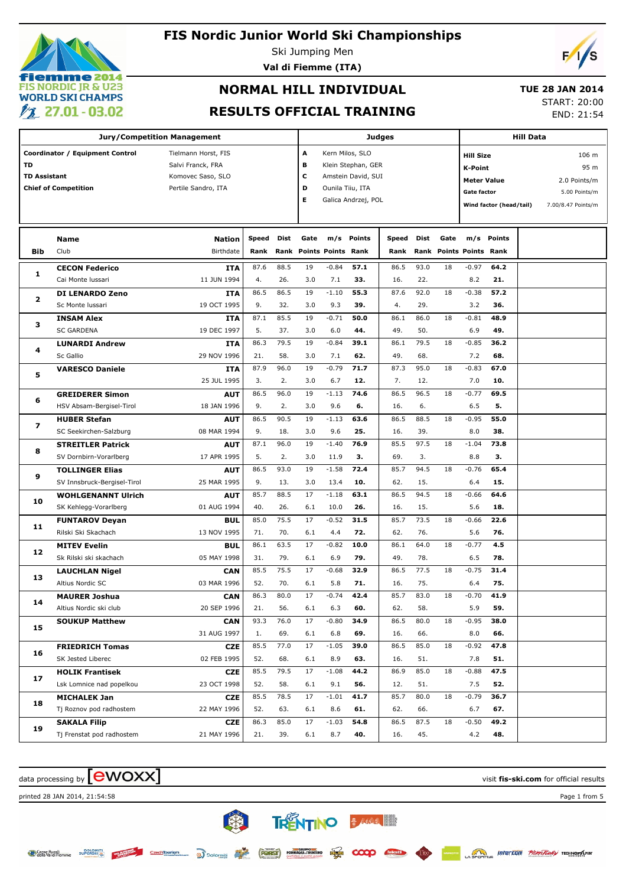# iemme 2014 **FIS NORDIC JR & U23 WORLD SKI CHAMPS**  $\ell$  27.01 - 03.02

### **FIS Nordic Junior World Ski Championships**

Ski Jumping Men

**Val di Fiemme (ITA)**

# $\sqrt{2}$

## **NORMAL HILL INDIVIDUAL**

 **TUE 28 JAN 2014**

### **RESULTS OFFICIAL TRAINING**

START: 20:00 END: 21:54

|                     | <b>Jury/Competition Management</b> |                     |              |      | Judges |                         | <b>Hill Data</b>    |       |      |      |                           |                         |  |                    |      |
|---------------------|------------------------------------|---------------------|--------------|------|--------|-------------------------|---------------------|-------|------|------|---------------------------|-------------------------|--|--------------------|------|
|                     | Coordinator / Equipment Control    | Tielmann Horst, FIS |              |      | Α      |                         | Kern Milos, SLO     |       |      |      | <b>Hill Size</b><br>106 m |                         |  |                    |      |
| TD                  |                                    | Salvi Franck, FRA   |              |      | в      |                         | Klein Stephan, GER  |       |      |      | <b>K-Point</b>            |                         |  |                    | 95 m |
| <b>TD Assistant</b> |                                    | Komovec Saso, SLO   |              |      | c      |                         | Amstein David, SUI  |       |      |      | <b>Meter Value</b>        |                         |  | 2.0 Points/m       |      |
|                     | <b>Chief of Competition</b>        | Pertile Sandro, ITA |              |      | D      |                         | Ounila Tiiu, ITA    |       |      |      | Gate factor               |                         |  | 5.00 Points/m      |      |
|                     |                                    |                     |              |      | Е      |                         | Galica Andrzej, POL |       |      |      |                           | Wind factor (head/tail) |  | 7.00/8.47 Points/m |      |
|                     |                                    |                     |              |      |        |                         |                     |       |      |      |                           |                         |  |                    |      |
|                     |                                    |                     |              |      |        |                         |                     |       |      |      |                           |                         |  |                    |      |
|                     | <b>Name</b>                        | <b>Nation</b>       | <b>Speed</b> | Dist | Gate   |                         | m/s Points          | Speed | Dist | Gate |                           | m/s Points              |  |                    |      |
| <b>Bib</b>          | Club                               | Birthdate           | Rank         |      |        | Rank Points Points Rank |                     | Rank  |      |      | Rank Points Points Rank   |                         |  |                    |      |
| 1                   | <b>CECON Federico</b>              | <b>ITA</b>          | 87.6         | 88.5 | 19     | $-0.84$                 | 57.1                | 86.5  | 93.0 | 18   | $-0.97$                   | 64.2                    |  |                    |      |
|                     | Cai Monte Iussari                  | 11 JUN 1994         | 4.           | 26.  | 3.0    | 7.1                     | 33.                 | 16.   | 22.  |      | 8.2                       | 21.                     |  |                    |      |
| 2                   | <b>DI LENARDO Zeno</b>             | ITA                 | 86.5         | 86.5 | 19     | $-1.10$                 | 55.3                | 87.6  | 92.0 | 18   | $-0.38$                   | 57.2                    |  |                    |      |
|                     | Sc Monte Iussari                   | 19 OCT 1995         | 9.           | 32.  | 3.0    | 9.3                     | 39.                 | 4.    | 29.  |      | 3.2                       | 36.                     |  |                    |      |
| з                   | <b>INSAM Alex</b>                  | ITA                 | 87.1         | 85.5 | 19     | $-0.71$                 | 50.0                | 86.1  | 86.0 | 18   | $-0.81$                   | 48.9                    |  |                    |      |
|                     | <b>SC GARDENA</b>                  | 19 DEC 1997         | 5.           | 37.  | 3.0    | 6.0                     | 44.                 | 49.   | 50.  |      | 6.9                       | 49.                     |  |                    |      |
| 4                   | <b>LUNARDI Andrew</b>              | ITA                 | 86.3         | 79.5 | 19     | $-0.84$                 | 39.1                | 86.1  | 79.5 | 18   | $-0.85$                   | 36.2                    |  |                    |      |
|                     | Sc Gallio                          | 29 NOV 1996         | 21.          | 58.  | 3.0    | 7.1                     | 62.                 | 49.   | 68.  |      | 7.2                       | 68.                     |  |                    |      |
| 5                   | <b>VARESCO Daniele</b>             | ITA                 | 87.9         | 96.0 | 19     | $-0.79$                 | 71.7                | 87.3  | 95.0 | 18   | $-0.83$                   | 67.0                    |  |                    |      |
|                     |                                    | 25 JUL 1995         | 3.           | 2.   | 3.0    | 6.7                     | 12.                 | 7.    | 12.  |      | 7.0                       | 10.                     |  |                    |      |
| 6                   | <b>GREIDERER Simon</b>             | <b>AUT</b>          | 86.5         | 96.0 | 19     | $-1.13$                 | 74.6                | 86.5  | 96.5 | 18   | $-0.77$                   | 69.5                    |  |                    |      |
|                     | HSV Absam-Bergisel-Tirol           | 18 JAN 1996         | 9.           | 2.   | 3.0    | 9.6                     | 6.                  | 16.   | 6.   |      | 6.5                       | 5.                      |  |                    |      |
| 7                   | <b>HUBER Stefan</b>                | AUT                 | 86.5         | 90.5 | 19     | $-1.13$                 | 63.6                | 86.5  | 88.5 | 18   | $-0.95$                   | 55.0                    |  |                    |      |
|                     | SC Seekirchen-Salzburg             | 08 MAR 1994         | 9.           | 18.  | 3.0    | 9.6                     | 25.                 | 16.   | 39.  |      | 8.0                       | 38.                     |  |                    |      |
| 8                   | <b>STREITLER Patrick</b>           | <b>AUT</b>          | 87.1         | 96.0 | 19     | $-1.40$                 | 76.9                | 85.5  | 97.5 | 18   | $-1.04$                   | 73.8                    |  |                    |      |
|                     | SV Dornbirn-Vorarlberg             | 17 APR 1995         | 5.           | 2.   | 3.0    | 11.9                    | з.                  | 69.   | 3.   |      | 8.8                       | З.                      |  |                    |      |
| 9                   | <b>TOLLINGER Elias</b>             | <b>AUT</b>          | 86.5         | 93.0 | 19     | $-1.58$                 | 72.4                | 85.7  | 94.5 | 18   | $-0.76$                   | 65.4                    |  |                    |      |
|                     | SV Innsbruck-Bergisel-Tirol        | 25 MAR 1995         | 9.           | 13.  | 3.0    | 13.4                    | 10.                 | 62.   | 15.  |      | 6.4                       | 15.                     |  |                    |      |
| 10                  | <b>WOHLGENANNT Ulrich</b>          | AUT                 | 85.7         | 88.5 | 17     | $-1.18$                 | 63.1                | 86.5  | 94.5 | 18   | $-0.66$                   | 64.6                    |  |                    |      |
|                     | SK Kehlegg-Vorarlberg              | 01 AUG 1994         | 40.          | 26.  | 6.1    | 10.0                    | 26.                 | 16.   | 15.  |      | 5.6                       | 18.                     |  |                    |      |
| 11                  | <b>FUNTAROV Deyan</b>              | BUL                 | 85.0         | 75.5 | 17     | $-0.52$                 | 31.5                | 85.7  | 73.5 | 18   | $-0.66$                   | 22.6                    |  |                    |      |
|                     | Rilski Ski Skachach                | 13 NOV 1995         | 71.          | 70.  | 6.1    | 4.4                     | 72.                 | 62.   | 76.  |      | 5.6                       | 76.                     |  |                    |      |
| 12                  | <b>MITEV Evelin</b>                | <b>BUL</b>          | 86.1         | 63.5 | 17     | $-0.82$                 | 10.0                | 86.1  | 64.0 | 18   | $-0.77$                   | 4.5                     |  |                    |      |
|                     | Sk Rilski ski skachach             | 05 MAY 1998         | 31.          | 79.  | 6.1    | 6.9                     | 79.                 | 49.   | 78.  |      | 6.5                       | 78.                     |  |                    |      |
| 13                  | <b>LAUCHLAN Nigel</b>              | <b>CAN</b>          | 85.5         | 75.5 | 17     | $-0.68$                 | 32.9                | 86.5  | 77.5 | 18   | $-0.75$                   | 31.4                    |  |                    |      |
|                     | Altius Nordic SC                   | 03 MAR 1996         | 52.          | 70.  | 6.1    | 5.8                     | 71.                 | 16.   | 75.  |      | 6.4                       | 75.                     |  |                    |      |
| 14                  | <b>MAURER Joshua</b>               | <b>CAN</b>          | 86.3         | 80.0 | 17     | $-0.74$                 | 42.4                | 85.7  | 83.0 | 18   | $-0.70$                   | 41.9                    |  |                    |      |
|                     | Altius Nordic ski club             | 20 SEP 1996         | 21.          | 56.  | 6.1    | 6.3                     | 60.                 | 62.   | 58.  |      | 5.9                       | 59.                     |  |                    |      |
| 15                  | <b>SOUKUP Matthew</b>              | <b>CAN</b>          | 93.3         | 76.0 | 17     | $-0.80$                 | 34.9                | 86.5  | 80.0 | 18   | $-0.95$                   | 38.0                    |  |                    |      |
|                     |                                    | 31 AUG 1997         | 1.           | 69.  | 6.1    | 6.8                     | 69.                 | 16.   | 66.  |      | 8.0                       | 66.                     |  |                    |      |
| 16                  | <b>FRIEDRICH Tomas</b>             | <b>CZE</b>          | 85.5         | 77.0 | 17     | $-1.05$                 | 39.0                | 86.5  | 85.0 | 18   | $-0.92$                   | 47.8                    |  |                    |      |
|                     | SK Jested Liberec                  | 02 FEB 1995         | 52.          | 68.  | 6.1    | 8.9                     | 63.                 | 16.   | 51.  |      | 7.8                       | 51.                     |  |                    |      |
| 17                  | <b>HOLIK Frantisek</b>             | <b>CZE</b>          | 85.5         | 79.5 | 17     | $-1.08$                 | 44.2                | 86.9  | 85.0 | 18   | $-0.88$                   | 47.5                    |  |                    |      |
|                     | Lsk Lomnice nad popelkou           | 23 OCT 1998         | 52.          | 58.  | 6.1    | 9.1                     | 56.                 | 12.   | 51.  |      | 7.5                       | 52.                     |  |                    |      |
| 18                  | <b>MICHALEK Jan</b>                | <b>CZE</b>          | 85.5         | 78.5 | 17     | $-1.01$                 | 41.7                | 85.7  | 80.0 | 18   | $-0.79$                   | 36.7                    |  |                    |      |
|                     | Tj Roznov pod radhostem            | 22 MAY 1996         | 52.          | 63.  | 6.1    | 8.6                     | 61.                 | 62.   | 66.  |      | 6.7                       | 67.                     |  |                    |      |
| 19                  | <b>SAKALA Filip</b>                | <b>CZE</b>          | 86.3         | 85.0 | 17     | $-1.03$                 | 54.8                | 86.5  | 87.5 | 18   | $-0.50$                   | 49.2                    |  |                    |      |
|                     | Tj Frenstat pod radhostem          | 21 MAY 1996         | 21.          | 39.  | 6.1    | 8.7                     | 40.                 | 16.   | 45.  |      | 4.2                       | 48.                     |  |                    |      |
|                     |                                    |                     |              |      |        |                         |                     |       |      |      |                           |                         |  |                    |      |

类

CzechTourism a Dolomiti (FORST FORMAGELTREMINO ET

**TRENTINO & MANIFER** 

CCCO felic



printed 28 JAN 2014, 21:54:58 Page 1 from 5

Casse Rurali BUPERSKI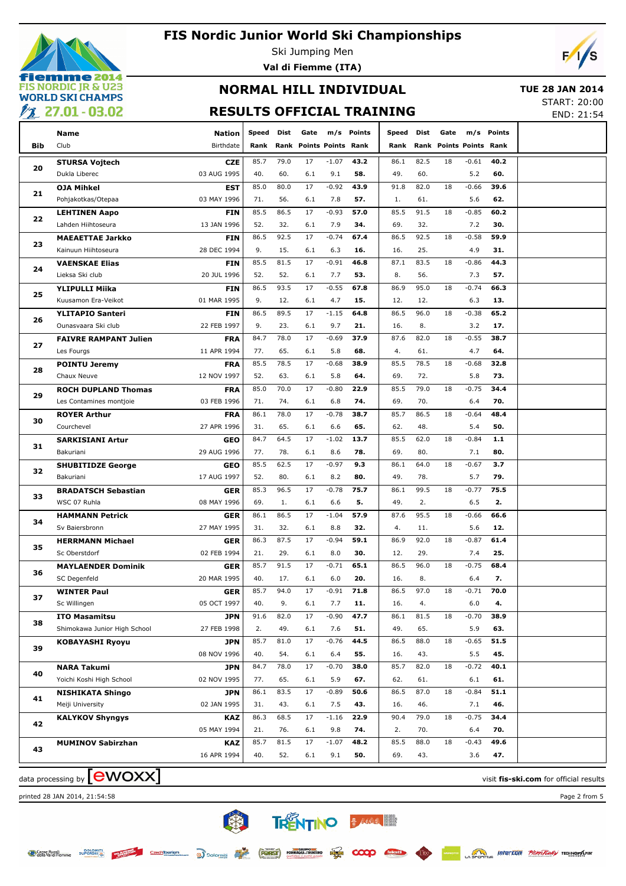

Ski Jumping Men **Val di Fiemme (ITA)**



### **NORMAL HILL INDIVIDUAL RESULTS OFFICIAL TRAINING**

 **TUE 28 JAN 2014** START: 20:00

END: 21:54

|            | <b>Name</b>                        | <b>Nation</b>             | Speed       | Dist        | Gate                    | m/s            | Points      | Speed       | Dist       | Gate                    | m/s            | Points     |  |
|------------|------------------------------------|---------------------------|-------------|-------------|-------------------------|----------------|-------------|-------------|------------|-------------------------|----------------|------------|--|
| <b>Bib</b> | Club                               | Birthdate                 | Rank        |             | Rank Points Points Rank |                |             | Rank        |            | Rank Points Points Rank |                |            |  |
|            | <b>STURSA Vojtech</b>              | <b>CZE</b>                | 85.7        | 79.0        | 17                      | $-1.07$        | 43.2        | 86.1        | 82.5       | 18                      | $-0.61$        | 40.2       |  |
| 20         | Dukla Liberec                      | 03 AUG 1995               | 40.         | 60.         | 6.1                     | 9.1            | 58.         | 49.         | 60.        |                         | 5.2            | 60.        |  |
|            | <b>OJA Mihkel</b>                  | <b>EST</b>                | 85.0        | 80.0        | 17                      | $-0.92$        | 43.9        | 91.8        | 82.0       | 18                      | $-0.66$        | 39.6       |  |
| 21         | Pohjakotkas/Otepaa                 | 03 MAY 1996               | 71.         | 56.         | 6.1                     | 7.8            | 57.         | 1.          | 61.        |                         | 5.6            | 62.        |  |
|            | <b>LEHTINEN Aapo</b>               | <b>FIN</b>                | 85.5        | 86.5        | 17                      | $-0.93$        | 57.0        | 85.5        | 91.5       | 18                      | $-0.85$        | 60.2       |  |
| 22         | Lahden Hiihtoseura                 | 13 JAN 1996               | 52.         | 32.         | 6.1                     | 7.9            | 34.         | 69.         | 32.        |                         | 7.2            | 30.        |  |
|            | <b>MAEAETTAE Jarkko</b>            | <b>FIN</b>                | 86.5        | 92.5        | 17                      | $-0.74$        | 67.4        | 86.5        | 92.5       | 18                      | $-0.58$        | 59.9       |  |
| 23         | Kainuun Hiihtoseura                | 28 DEC 1994               | 9.          | 15.         | 6.1                     | 6.3            | 16.         | 16.         | 25.        |                         | 4.9            | 31.        |  |
|            | <b>VAENSKAE Elias</b>              | <b>FIN</b>                | 85.5        | 81.5        | 17                      | $-0.91$        | 46.8        | 87.1        | 83.5       | 18                      | $-0.86$        | 44.3       |  |
| 24         | Lieksa Ski club                    | 20 JUL 1996               | 52.         | 52.         | 6.1                     | 7.7            | 53.         | 8.          | 56.        |                         | 7.3            | 57.        |  |
|            | <b>YLIPULLI Miika</b>              | <b>FIN</b>                | 86.5        | 93.5        | 17                      | $-0.55$        | 67.8        | 86.9        | 95.0       | 18                      | $-0.74$        | 66.3       |  |
| 25         | Kuusamon Era-Veikot                | 01 MAR 1995               | 9.          | 12.         | 6.1                     | 4.7            | 15.         | 12.         | 12.        |                         | 6.3            | 13.        |  |
|            | <b>YLITAPIO Santeri</b>            | <b>FIN</b>                | 86.5        | 89.5        | 17                      | $-1.15$        | 64.8        | 86.5        | 96.0       | 18                      | $-0.38$        | 65.2       |  |
| 26         | Ounasvaara Ski club                | 22 FEB 1997               | 9.          | 23.         | 6.1                     | 9.7            | 21.         | 16.         | 8.         |                         | 3.2            | 17.        |  |
| 27         | <b>FAIVRE RAMPANT Julien</b>       | <b>FRA</b>                | 84.7        | 78.0        | 17                      | $-0.69$        | 37.9        | 87.6        | 82.0       | 18                      | $-0.55$        | 38.7       |  |
|            | Les Fourgs                         | 11 APR 1994               | 77.         | 65.         | 6.1                     | 5.8            | 68.         | 4.          | 61.        |                         | 4.7            | 64.        |  |
| 28         | <b>POINTU Jeremy</b>               | <b>FRA</b>                | 85.5        | 78.5        | 17                      | $-0.68$        | 38.9        | 85.5        | 78.5       | 18                      | $-0.68$        | 32.8       |  |
|            | Chaux Neuve                        | 12 NOV 1997               | 52.         | 63.         | 6.1                     | 5.8            | 64.         | 69.         | 72.        |                         | 5.8            | 73.        |  |
| 29         | <b>ROCH DUPLAND Thomas</b>         | <b>FRA</b>                | 85.0        | 70.0        | 17                      | $-0.80$        | 22.9        | 85.5        | 79.0       | 18                      | $-0.75$        | 34.4       |  |
|            | Les Contamines montjoie            | 03 FEB 1996               | 71.         | 74.         | 6.1                     | 6.8            | 74.         | 69.         | 70.        |                         | 6.4            | 70.        |  |
| 30         | <b>ROYER Arthur</b>                | <b>FRA</b>                | 86.1        | 78.0        | 17                      | $-0.78$        | 38.7        | 85.7        | 86.5       | 18                      | $-0.64$        | 48.4       |  |
|            | Courchevel                         | 27 APR 1996               | 31.         | 65.         | 6.1                     | 6.6            | 65.         | 62.         | 48.        |                         | 5.4            | 50.        |  |
| 31         | <b>SARKISIANI Artur</b>            | <b>GEO</b>                | 84.7        | 64.5        | 17                      | $-1.02$        | 13.7        | 85.5        | 62.0       | 18                      | $-0.84$        | $1.1$      |  |
|            | Bakuriani                          | 29 AUG 1996               | 77.         | 78.         | 6.1                     | 8.6            | 78.         | 69.         | 80.        |                         | 7.1            | 80.        |  |
| 32         | <b>SHUBITIDZE George</b>           | <b>GEO</b>                | 85.5        | 62.5        | 17                      | $-0.97$        | 9.3         | 86.1        | 64.0       | 18                      | $-0.67$        | 3.7        |  |
|            | Bakuriani                          | 17 AUG 1997               | 52.         | 80.         | 6.1                     | 8.2            | 80.         | 49.         | 78.        |                         | 5.7            | 79.        |  |
| 33         | <b>BRADATSCH Sebastian</b>         | <b>GER</b>                | 85.3        | 96.5        | 17                      | $-0.78$        | 75.7        | 86.1        | 99.5       | 18                      | $-0.77$        | 75.5       |  |
|            | WSC 07 Ruhla                       | 08 MAY 1996               | 69.         | 1.          | 6.1                     | 6.6            | 5.          | 49.         | 2.         |                         | 6.5            | 2.         |  |
| 34         | <b>HAMMANN Petrick</b>             | <b>GER</b>                | 86.1        | 86.5        | 17                      | $-1.04$        | 57.9        | 87.6        | 95.5       | 18                      | $-0.66$        | 66.6       |  |
|            | Sv Baiersbronn                     | 27 MAY 1995               | 31.         | 32.         | 6.1                     | 8.8            | 32.         | 4.          | 11.        |                         | 5.6            | 12.        |  |
| 35         | <b>HERRMANN Michael</b>            | <b>GER</b>                | 86.3        | 87.5        | 17                      | $-0.94$        | 59.1        | 86.9        | 92.0       | 18                      | $-0.87$        | 61.4       |  |
|            | Sc Oberstdorf                      | 02 FEB 1994               | 21.         | 29.         | 6.1                     | 8.0            | 30.         | 12.         | 29.        |                         | 7.4            | 25.        |  |
| 36         | <b>MAYLAENDER Dominik</b>          | <b>GER</b>                | 85.7        | 91.5        | 17                      | $-0.71$        | 65.1        | 86.5        | 96.0       | 18                      | $-0.75$        | 68.4       |  |
|            | SC Degenfeld                       | 20 MAR 1995               | 40.<br>85.7 | 17.<br>94.0 | 6.1<br>$17\,$           | 6.0<br>$-0.91$ | 20.<br>71.8 | 16.<br>86.5 | 8.<br>97.0 | 18                      | 6.4<br>$-0.71$ | 7.<br>70.0 |  |
| 37         | <b>WINTER Paul</b><br>Sc Willingen | <b>GER</b><br>05 OCT 1997 | 40.         | 9.          | 6.1                     | 7.7            | 11.         | 16.         | 4.         |                         | 6.0            | 4.         |  |
|            | <b>ITO Masamitsu</b>               | JPN                       | 91.6        | 82.0        | 17                      | $-0.90$        | 47.7        | 86.1        | 81.5       | 18                      | $-0.70$        | 38.9       |  |
| 38         | Shimokawa Junior High School       | 27 FEB 1998               | 2.          | 49.         | 6.1                     | 7.6            | 51.         | 49.         | 65.        |                         | 5.9            | 63.        |  |
|            | <b>KOBAYASHI Ryoyu</b>             | JPN                       | 85.7        | 81.0        | 17                      | $-0.76$        | 44.5        | 86.5        | 88.0       | 18                      | $-0.65$        | 51.5       |  |
| 39         |                                    | 08 NOV 1996               | 40.         | 54.         | 6.1                     | 6.4            | 55.         | 16.         | 43.        |                         | 5.5            | 45.        |  |
|            | <b>NARA Takumi</b>                 | <b>JPN</b>                | 84.7        | 78.0        | 17                      | $-0.70$        | 38.0        | 85.7        | 82.0       | 18                      | $-0.72$        | 40.1       |  |
| 40         | Yoichi Koshi High School           | 02 NOV 1995               | 77.         | 65.         | 6.1                     | 5.9            | 67.         | 62.         | 61.        |                         | 6.1            | 61.        |  |
|            | <b>NISHIKATA Shingo</b>            | <b>JPN</b>                | 86.1        | 83.5        | 17                      | $-0.89$        | 50.6        | 86.5        | 87.0       | 18                      | $-0.84$        | 51.1       |  |
| 41         | Meiji University                   | 02 JAN 1995               | 31.         | 43.         | 6.1                     | 7.5            | 43.         | 16.         | 46.        |                         | 7.1            | 46.        |  |
|            | <b>KALYKOV Shyngys</b>             | <b>KAZ</b>                | 86.3        | 68.5        | 17                      | $-1.16$        | 22.9        | 90.4        | 79.0       | 18                      | $-0.75$        | 34.4       |  |
| 42         |                                    | 05 MAY 1994               | 21.         | 76.         | 6.1                     | 9.8            | 74.         | 2.          | 70.        |                         | 6.4            | 70.        |  |
|            | <b>MUMINOV Sabirzhan</b>           | <b>KAZ</b>                | 85.7        | 81.5        | 17                      | $-1.07$        | 48.2        | 85.5        | 88.0       | 18                      | $-0.43$        | 49.6       |  |
| 43         |                                    | 16 APR 1994               | 40.         | 52.         | 6.1                     | 9.1            | 50.         | 69.         | 43.        |                         | 3.6            | 47.        |  |
|            |                                    |                           |             |             |                         |                |             |             |            |                         |                |            |  |

data processing by **CWOXX** and  $\overline{C}$  and  $\overline{C}$  and  $\overline{C}$  and  $\overline{C}$  and  $\overline{C}$  and  $\overline{C}$  and  $\overline{C}$  and  $\overline{C}$  and  $\overline{C}$  and  $\overline{C}$  and  $\overline{C}$  and  $\overline{C}$  and  $\overline{C}$  and  $\overline{C}$  and  $\overline{C}$ 

printed 28 JAN 2014, 21:54:58 Page 2 from 5

类 **TRENTINO BARACTER** 

 $\infty$ 

CzechTourism a Dolomiti **FORST** FORMAGGI-TRATING ET

Casse Rurali<br>Calla Val di Fiemme **DOLOMIT**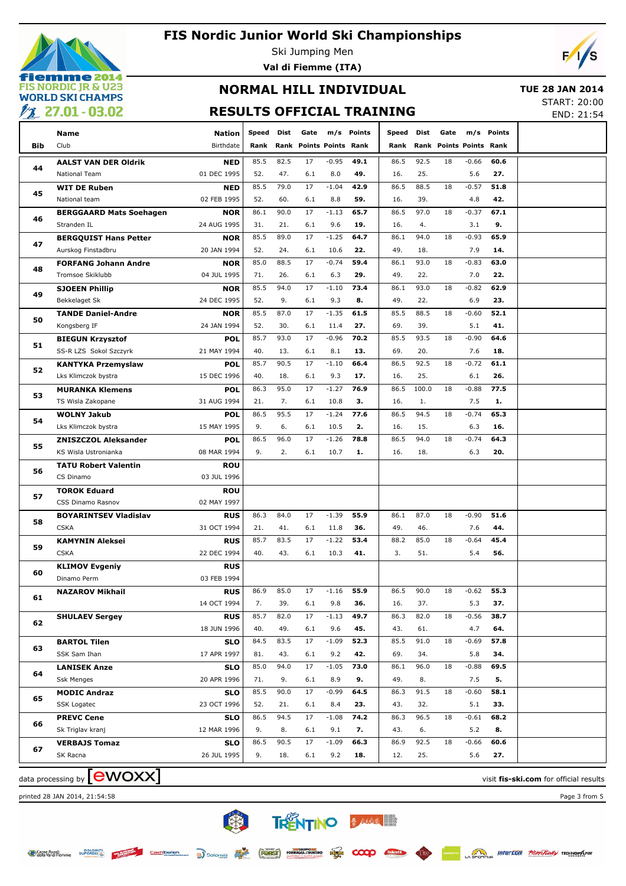

**emme 2014 FIS NORDIC JR & U23 WORLD SKI CHAMPS**  $\frac{1}{2}$  27.01 - 03.02 **Val di Fiemme (ITA)**



### **NORMAL HILL INDIVIDUAL RESULTS OFFICIAL TRAINING**

 **TUE 28 JAN 2014** START: 20:00

END: 21:54

| —   |                                    |               |              |      |                                |         |            |           |       |                                |         |            |                                        |
|-----|------------------------------------|---------------|--------------|------|--------------------------------|---------|------------|-----------|-------|--------------------------------|---------|------------|----------------------------------------|
|     | Name                               | <b>Nation</b> | Speed        | Dist | Gate                           |         | m/s Points | Speed     | Dist  | Gate                           |         | m/s Points |                                        |
| Bib | Club                               | Birthdate     | Rank         |      | <b>Rank Points Points Rank</b> |         |            | Rank      |       | <b>Rank Points Points Rank</b> |         |            |                                        |
|     | <b>AALST VAN DER Oldrik</b>        | <b>NED</b>    | 85.5         | 82.5 | 17                             | $-0.95$ | 49.1       | 86.5      | 92.5  | 18                             | $-0.66$ | 60.6       |                                        |
| 44  | National Team                      | 01 DEC 1995   | 52.          | 47.  | 6.1                            | 8.0     | 49.        | 16.       | 25.   |                                | 5.6     | 27.        |                                        |
|     | <b>WIT DE Ruben</b>                | <b>NED</b>    | 85.5         | 79.0 | 17                             | $-1.04$ | 42.9       | 86.5      | 88.5  | 18                             | $-0.57$ | 51.8       |                                        |
| 45  | National team                      | 02 FEB 1995   | 52.          | 60.  | 6.1                            | 8.8     | 59.        | 16.       | 39.   |                                | 4.8     | 42.        |                                        |
|     | <b>BERGGAARD Mats Soehagen</b>     | <b>NOR</b>    | 86.1         | 90.0 | 17                             | $-1.13$ | 65.7       | 86.5      | 97.0  | 18                             | $-0.37$ | 67.1       |                                        |
| 46  | Stranden IL                        | 24 AUG 1995   | 31.          | 21.  | 6.1                            | 9.6     | 19.        | 16.       | 4.    |                                | 3.1     | 9.         |                                        |
|     | <b>BERGQUIST Hans Petter</b>       | <b>NOR</b>    | 85.5         | 89.0 | 17                             | $-1.25$ | 64.7       | 86.1      | 94.0  | 18                             | $-0.93$ | 65.9       |                                        |
| 47  | Aurskog Finstadbru                 | 20 JAN 1994   | 52.          | 24.  | 6.1                            | 10.6    | 22.        | 49.       | 18.   |                                | 7.9     | 14.        |                                        |
|     | <b>FORFANG Johann Andre</b>        | <b>NOR</b>    | 85.0         | 88.5 | 17                             | $-0.74$ | 59.4       | 86.1      | 93.0  | 18                             | $-0.83$ | 63.0       |                                        |
| 48  | Tromsoe Skiklubb                   | 04 JUL 1995   | 71.          | 26.  | 6.1                            | 6.3     | 29.        | 49.       | 22.   |                                | 7.0     | 22.        |                                        |
|     | <b>SJOEEN Phillip</b>              | <b>NOR</b>    | 85.5         | 94.0 | 17                             | $-1.10$ | 73.4       | 86.1      | 93.0  | 18                             | $-0.82$ | 62.9       |                                        |
| 49  | Bekkelaget Sk                      | 24 DEC 1995   | 52.          | 9.   | 6.1                            | 9.3     | 8.         | 49.       | 22.   |                                | 6.9     | 23.        |                                        |
|     | <b>TANDE Daniel-Andre</b>          | <b>NOR</b>    | 85.5         | 87.0 | 17                             | $-1.35$ | 61.5       | 85.5      | 88.5  | 18                             | $-0.60$ | 52.1       |                                        |
| 50  | Kongsberg IF                       | 24 JAN 1994   | 52.          | 30.  | 6.1                            | 11.4    | 27.        | 69.       | 39.   |                                | 5.1     | 41.        |                                        |
|     | <b>BIEGUN Krzysztof</b>            | <b>POL</b>    | 85.7         | 93.0 | 17                             | $-0.96$ | 70.2       | 85.5      | 93.5  | 18                             | $-0.90$ | 64.6       |                                        |
| 51  | SS-R LZS Sokol Szczyrk             | 21 MAY 1994   | 40.          | 13.  | 6.1                            | 8.1     | 13.        | 69.       | 20.   |                                | 7.6     | 18.        |                                        |
|     | <b>KANTYKA Przemyslaw</b>          | <b>POL</b>    | 85.7         | 90.5 | 17                             | $-1.10$ | 66.4       | 86.5      | 92.5  | 18                             | $-0.72$ | 61.1       |                                        |
| 52  | Lks Klimczok bystra                | 15 DEC 1996   | 40.          | 18.  | 6.1                            | 9.3     | 17.        | 16.       | 25.   |                                | 6.1     | 26.        |                                        |
|     | <b>MURANKA Klemens</b>             | <b>POL</b>    | 86.3         | 95.0 | 17                             | $-1.27$ | 76.9       | 86.5      | 100.0 | 18                             | $-0.88$ | 77.5       |                                        |
| 53  | TS Wisla Zakopane                  | 31 AUG 1994   | 21.          | 7.   | 6.1                            | 10.8    | 3.         | 16.       | 1.    |                                | 7.5     | 1.         |                                        |
|     | <b>WOLNY Jakub</b>                 | <b>POL</b>    | 86.5         | 95.5 | 17                             | $-1.24$ | 77.6       | 86.5      | 94.5  | 18                             | $-0.74$ | 65.3       |                                        |
| 54  | Lks Klimczok bystra                | 15 MAY 1995   | 9.           | 6.   | 6.1                            | 10.5    | 2.         | 16.       | 15.   |                                | 6.3     | 16.        |                                        |
|     | <b>ZNISZCZOL Aleksander</b>        | <b>POL</b>    | 86.5         | 96.0 | 17                             | $-1.26$ | 78.8       | 86.5      | 94.0  | 18                             | $-0.74$ | 64.3       |                                        |
| 55  | KS Wisla Ustronianka               | 08 MAR 1994   | 9.           | 2.   | 6.1                            | 10.7    | 1.         | 16.       | 18.   |                                | 6.3     | 20.        |                                        |
|     | <b>TATU Robert Valentin</b>        | <b>ROU</b>    |              |      |                                |         |            |           |       |                                |         |            |                                        |
| 56  | CS Dinamo                          | 03 JUL 1996   |              |      |                                |         |            |           |       |                                |         |            |                                        |
| 57  | <b>TOROK Eduard</b>                | <b>ROU</b>    |              |      |                                |         |            |           |       |                                |         |            |                                        |
|     | CSS Dinamo Rasnov                  | 02 MAY 1997   |              |      |                                |         |            |           |       |                                |         |            |                                        |
| 58  | <b>BOYARINTSEV Vladislav</b>       | <b>RUS</b>    | 86.3         | 84.0 | 17                             | $-1.39$ | 55.9       | 86.1      | 87.0  | 18                             | $-0.90$ | 51.6       |                                        |
|     | <b>CSKA</b>                        | 31 OCT 1994   | 21.          | 41.  | 6.1                            | 11.8    | 36.        | 49.       | 46.   |                                | 7.6     | 44.        |                                        |
| 59  | <b>KAMYNIN Aleksei</b>             | <b>RUS</b>    | 85.7         | 83.5 | 17                             | $-1.22$ | 53.4       | 88.2      | 85.0  | 18                             | $-0.64$ | 45.4       |                                        |
|     | <b>CSKA</b>                        | 22 DEC 1994   | 40.          | 43.  | 6.1                            | 10.3    | 41.        | 3.        | 51.   |                                | 5.4     | 56.        |                                        |
| 60  | <b>KLIMOV Evgeniy</b>              | <b>RUS</b>    |              |      |                                |         |            |           |       |                                |         |            |                                        |
|     | Dinamo Perm                        | 03 FEB 1994   |              |      |                                |         |            |           |       |                                |         |            |                                        |
| 61  | <b>NAZAROV Mikhail</b>             | <b>RUS</b>    | 86.9 85.0 17 |      |                                | $-1.16$ | 55.9       | 86.5 90.0 |       | 18                             | $-0.62$ | 55.3       |                                        |
|     |                                    | 14 OCT 1994   | 7.           | 39.  | 6.1                            | 9.8     | 36.        | 16.       | 37.   |                                | 5.3     | 37.        |                                        |
| 62  | <b>SHULAEV Sergey</b>              | <b>RUS</b>    | 85.7         | 82.0 | 17                             | $-1.13$ | 49.7       | 86.3      | 82.0  | 18                             | $-0.56$ | 38.7       |                                        |
|     |                                    | 18 JUN 1996   | 40.          | 49.  | 6.1                            | 9.6     | 45.        | 43.       | 61.   |                                | 4.7     | 64.        |                                        |
| 63  | <b>BARTOL Tilen</b>                | <b>SLO</b>    | 84.5         | 83.5 | 17                             | $-1.09$ | 52.3       | 85.5      | 91.0  | 18                             | $-0.69$ | 57.8       |                                        |
|     | SSK Sam Ihan                       | 17 APR 1997   | 81.          | 43.  | 6.1                            | 9.2     | 42.        | 69.       | 34.   |                                | 5.8     | 34.        |                                        |
| 64  | <b>LANISEK Anze</b>                | <b>SLO</b>    | 85.0         | 94.0 | 17                             | $-1.05$ | 73.0       | 86.1      | 96.0  | 18                             | $-0.88$ | 69.5       |                                        |
|     | <b>Ssk Menges</b>                  | 20 APR 1996   | 71.          | 9.   | 6.1                            | 8.9     | 9.         | 49.       | 8.    |                                | 7.5     | 5.         |                                        |
| 65  | <b>MODIC Andraz</b>                | <b>SLO</b>    | 85.5         | 90.0 | 17                             | $-0.99$ | 64.5       | 86.3      | 91.5  | 18                             | $-0.60$ | 58.1       |                                        |
|     | SSK Logatec                        | 23 OCT 1996   | 52.          | 21.  | 6.1                            | 8.4     | 23.        | 43.       | 32.   |                                | 5.1     | 33.        |                                        |
| 66  | <b>PREVC Cene</b>                  | <b>SLO</b>    | 86.5         | 94.5 | 17                             | $-1.08$ | 74.2       | 86.3      | 96.5  | 18                             | $-0.61$ | 68.2       |                                        |
|     | Sk Triglav kranj                   | 12 MAR 1996   | 9.           | 8.   | 6.1                            | 9.1     | 7.         | 43.       | 6.    |                                | 5.2     | 8.         |                                        |
| 67  | <b>VERBAJS Tomaz</b>               | <b>SLO</b>    | 86.5         | 90.5 | 17                             | $-1.09$ | 66.3       | 86.9      | 92.5  | 18                             | $-0.66$ | 60.6       |                                        |
|     | SK Racna                           | 26 JUL 1995   | 9.           | 18.  | 6.1                            | 9.2     | 18.        | 12.       | 25.   |                                | 5.6     | 27.        |                                        |
|     | data processing by <b>[CWOXX</b> ] |               |              |      |                                |         |            |           |       |                                |         |            |                                        |
|     |                                    |               |              |      |                                |         |            |           |       |                                |         |            | visit fis-ski.com for official results |

类

CzechTourism

**TRENTINO BARRASHEE** 

 $\infty$ 

printed 28 JAN 2014, 21:54:58 Page 3 from 5



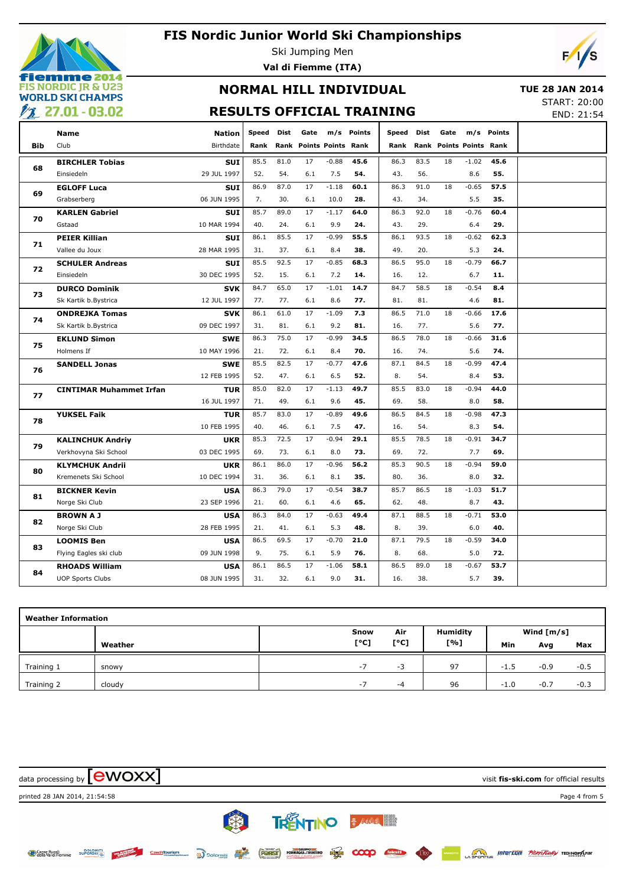

### **FIS Nordic Junior World Ski Championships**

Ski Jumping Men **Val di Fiemme (ITA)**



### **NORMAL HILL INDIVIDUAL RESULTS OFFICIAL TRAINING**

 **TUE 28 JAN 2014** START: 20:00

END: 21:54

|            | <b>Name</b>                    | <b>Nation</b> | <b>Speed</b> | Dist | Gate                    |         | m/s Points | Speed | Dist | Gate |                         | m/s Points |
|------------|--------------------------------|---------------|--------------|------|-------------------------|---------|------------|-------|------|------|-------------------------|------------|
| <b>Bib</b> | Club                           | Birthdate     | Rank         |      | Rank Points Points Rank |         |            | Rank  |      |      | Rank Points Points Rank |            |
|            | <b>BIRCHLER Tobias</b>         | SUI           | 85.5         | 81.0 | 17                      | $-0.88$ | 45.6       | 86.3  | 83.5 | 18   | $-1.02$                 | 45.6       |
| 68         | Einsiedeln                     | 29 JUL 1997   | 52.          | 54.  | 6.1                     | 7.5     | 54.        | 43.   | 56.  |      | 8.6                     | 55.        |
|            | <b>EGLOFF Luca</b>             | <b>SUI</b>    | 86.9         | 87.0 | 17                      | $-1.18$ | 60.1       | 86.3  | 91.0 | 18   | $-0.65$                 | 57.5       |
| 69         | Grabserberg                    | 06 JUN 1995   | 7.           | 30.  | 6.1                     | 10.0    | 28.        | 43.   | 34.  |      | 5.5                     | 35.        |
| 70         | <b>KARLEN Gabriel</b>          | <b>SUI</b>    | 85.7         | 89.0 | 17                      | $-1.17$ | 64.0       | 86.3  | 92.0 | 18   | $-0.76$                 | 60.4       |
|            | Gstaad                         | 10 MAR 1994   | 40.          | 24.  | 6.1                     | 9.9     | 24.        | 43.   | 29.  |      | 6.4                     | 29.        |
|            | <b>PEIER Killian</b>           | <b>SUI</b>    | 86.1         | 85.5 | 17                      | $-0.99$ | 55.5       | 86.1  | 93.5 | 18   | $-0.62$                 | 62.3       |
| 71         | Vallee du Joux                 | 28 MAR 1995   | 31.          | 37.  | 6.1                     | 8.4     | 38.        | 49.   | 20.  |      | 5.3                     | 24.        |
|            | <b>SCHULER Andreas</b>         | <b>SUI</b>    | 85.5         | 92.5 | 17                      | $-0.85$ | 68.3       | 86.5  | 95.0 | 18   | $-0.79$                 | 66.7       |
| 72         | Einsiedeln                     | 30 DEC 1995   | 52.          | 15.  | 6.1                     | 7.2     | 14.        | 16.   | 12.  |      | 6.7                     | 11.        |
|            | <b>DURCO Dominik</b>           | <b>SVK</b>    | 84.7         | 65.0 | 17                      | $-1.01$ | 14.7       | 84.7  | 58.5 | 18   | $-0.54$                 | 8.4        |
| 73         | Sk Kartik b.Bystrica           | 12 JUL 1997   | 77.          | 77.  | 6.1                     | 8.6     | 77.        | 81.   | 81.  |      | 4.6                     | 81.        |
|            | <b>ONDREJKA Tomas</b>          | <b>SVK</b>    | 86.1         | 61.0 | 17                      | $-1.09$ | 7.3        | 86.5  | 71.0 | 18   | $-0.66$                 | 17.6       |
| 74         | Sk Kartik b.Bystrica           | 09 DEC 1997   | 31.          | 81.  | 6.1                     | 9.2     | 81.        | 16.   | 77.  |      | 5.6                     | 77.        |
|            | <b>EKLUND Simon</b>            | <b>SWE</b>    | 86.3         | 75.0 | 17                      | $-0.99$ | 34.5       | 86.5  | 78.0 | 18   | $-0.66$                 | 31.6       |
| 75         | Holmens If                     | 10 MAY 1996   | 21.          | 72.  | 6.1                     | 8.4     | 70.        | 16.   | 74.  |      | 5.6                     | 74.        |
|            | <b>SANDELL Jonas</b>           | <b>SWE</b>    | 85.5         | 82.5 | 17                      | $-0.77$ | 47.6       | 87.1  | 84.5 | 18   | $-0.99$                 | 47.4       |
| 76         |                                | 12 FEB 1995   | 52.          | 47.  | 6.1                     | 6.5     | 52.        | 8.    | 54.  |      | 8.4                     | 53.        |
| 77         | <b>CINTIMAR Muhammet Irfan</b> | <b>TUR</b>    | 85.0         | 82.0 | 17                      | $-1.13$ | 49.7       | 85.5  | 83.0 | 18   | $-0.94$                 | 44.0       |
|            |                                | 16 JUL 1997   | 71.          | 49.  | 6.1                     | 9.6     | 45.        | 69.   | 58.  |      | 8.0                     | 58.        |
| 78         | <b>YUKSEL Faik</b>             | <b>TUR</b>    | 85.7         | 83.0 | 17                      | $-0.89$ | 49.6       | 86.5  | 84.5 | 18   | $-0.98$                 | 47.3       |
|            |                                | 10 FEB 1995   | 40.          | 46.  | 6.1                     | 7.5     | 47.        | 16.   | 54.  |      | 8.3                     | 54.        |
| 79         | <b>KALINCHUK Andriy</b>        | <b>UKR</b>    | 85.3         | 72.5 | 17                      | $-0.94$ | 29.1       | 85.5  | 78.5 | 18   | $-0.91$                 | 34.7       |
|            | Verkhovyna Ski School          | 03 DEC 1995   | 69.          | 73.  | 6.1                     | 8.0     | 73.        | 69.   | 72.  |      | 7.7                     | 69.        |
| 80         | <b>KLYMCHUK Andrii</b>         | <b>UKR</b>    | 86.1         | 86.0 | 17                      | $-0.96$ | 56.2       | 85.3  | 90.5 | 18   | $-0.94$                 | 59.0       |
|            | Kremenets Ski School           | 10 DEC 1994   | 31.          | 36.  | 6.1                     | 8.1     | 35.        | 80.   | 36.  |      | 8.0                     | 32.        |
| 81         | <b>BICKNER Kevin</b>           | <b>USA</b>    | 86.3         | 79.0 | 17                      | $-0.54$ | 38.7       | 85.7  | 86.5 | 18   | $-1.03$                 | 51.7       |
|            | Norge Ski Club                 | 23 SEP 1996   | 21.          | 60.  | 6.1                     | 4.6     | 65.        | 62.   | 48.  |      | 8.7                     | 43.        |
| 82         | <b>BROWN A J</b>               | <b>USA</b>    | 86.3         | 84.0 | 17                      | $-0.63$ | 49.4       | 87.1  | 88.5 | 18   | $-0.71$                 | 53.0       |
|            | Norge Ski Club                 | 28 FEB 1995   | 21.          | 41.  | 6.1                     | 5.3     | 48.        | 8.    | 39.  |      | 6.0                     | 40.        |
| 83         | <b>LOOMIS Ben</b>              | <b>USA</b>    | 86.5         | 69.5 | 17                      | $-0.70$ | 21.0       | 87.1  | 79.5 | 18   | $-0.59$                 | 34.0       |
|            | Flying Eagles ski club         | 09 JUN 1998   | 9.           | 75.  | 6.1                     | 5.9     | 76.        | 8.    | 68.  |      | 5.0                     | 72.        |
| 84         | <b>RHOADS William</b>          | <b>USA</b>    | 86.1         | 86.5 | 17                      | $-1.06$ | 58.1       | 86.5  | 89.0 | 18   | $-0.67$                 | 53.7       |
|            | <b>UOP Sports Clubs</b>        | 08 JUN 1995   | 31.          | 32.  | 6.1                     | 9.0     | 31.        | 16.   | 38.  |      | 5.7                     | 39.        |

|            | <b>Weather Information</b> |      |      |                 |        |              |        |  |  |  |  |  |  |
|------------|----------------------------|------|------|-----------------|--------|--------------|--------|--|--|--|--|--|--|
|            |                            | Snow | Air  | <b>Humidity</b> |        | Wind $[m/s]$ |        |  |  |  |  |  |  |
|            | Weather                    | [°C] | [°C] | [%]             | Min    | Avg          | Max    |  |  |  |  |  |  |
| Training 1 | snowy                      | $-7$ | -3   | 97              | $-1.5$ | $-0.9$       | $-0.5$ |  |  |  |  |  |  |
| Training 2 | cloudy                     | $-1$ | -4   | 96              | $-1.0$ | $-0.7$       | $-0.3$ |  |  |  |  |  |  |

| data processing by <b>CWOXX</b>                                               |                                         | visit fis-ski.com for official results               |
|-------------------------------------------------------------------------------|-----------------------------------------|------------------------------------------------------|
| printed 28 JAN 2014, 21:54:58                                                 |                                         | Page 4 from 5                                        |
| 中                                                                             | <b>TRENTINO BAGGER</b>                  |                                                      |
| SUPERSKILLE CrechTourism and Dolomiti<br>Casse Rurali<br>Coella Val di Fiemme | <b>FORST DESCRIPTION EVER COOP COOP</b> | Intercam <i>Piston Bully</i> TECHNOZIONY<br>имикртоо |